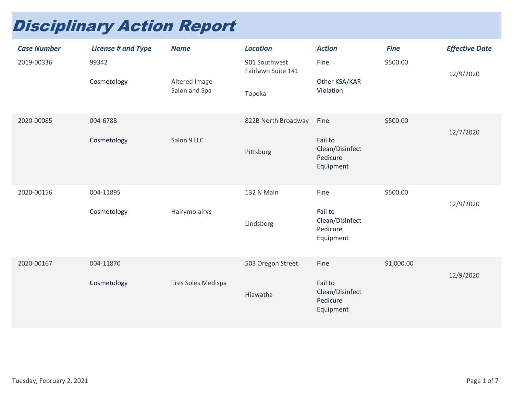## Disciplinary Action Report

| <b>Case Number</b><br>2019-00336 | <b>License # and Type</b><br>99342 | <b>Name</b>                    | <b>Location</b><br>901 Southwest<br>Fairlawn Suite 141 | <b>Action</b><br>Fine                                       | <b>Fine</b><br>\$500.00 | <b>Effective Date</b><br>12/9/2020 |
|----------------------------------|------------------------------------|--------------------------------|--------------------------------------------------------|-------------------------------------------------------------|-------------------------|------------------------------------|
|                                  | Cosmetology                        | Altered Image<br>Salon and Spa | Topeka                                                 | Other KSA/KAR<br>Violation                                  |                         |                                    |
| 2020-00085                       | 004-6788<br>Cosmetology            | Salon 9 LLC                    | 822B North Broadway<br>Pittsburg                       | Fine<br>Fail to<br>Clean/Disinfect<br>Pedicure<br>Equipment | \$500.00                | 12/7/2020                          |
| 2020-00156                       | 004-11895<br>Cosmetology           | Hairymolairys                  | 132 N Main<br>Lindsborg                                | Fine<br>Fail to<br>Clean/Disinfect<br>Pedicure<br>Equipment | \$500.00                | 12/9/2020                          |
| 2020-00167                       | 004-11870<br>Cosmetology           | Tres Soles Medispa             | 503 Oregon Street<br>Hiawatha                          | Fine<br>Fail to<br>Clean/Disinfect<br>Pedicure<br>Equipment | \$1,000.00              | 12/9/2020                          |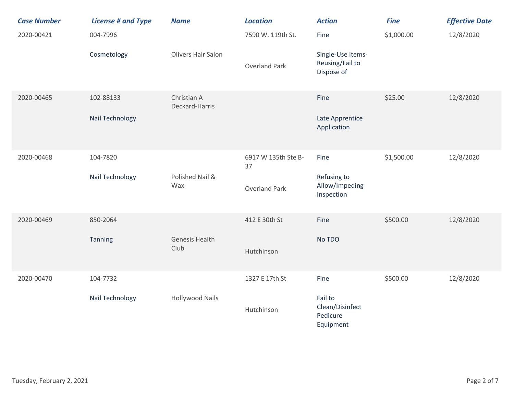| <b>Case Number</b> | <b>License # and Type</b> | <b>Name</b>                   | <b>Location</b>           | <b>Action</b>                                       | <b>Fine</b> | <b>Effective Date</b> |
|--------------------|---------------------------|-------------------------------|---------------------------|-----------------------------------------------------|-------------|-----------------------|
| 2020-00421         | 004-7996                  |                               | 7590 W. 119th St.         | Fine                                                | \$1,000.00  | 12/8/2020             |
|                    | Cosmetology               | Olivers Hair Salon            | <b>Overland Park</b>      | Single-Use Items-<br>Reusing/Fail to<br>Dispose of  |             |                       |
| 2020-00465         | 102-88133                 | Christian A<br>Deckard-Harris |                           | Fine                                                | \$25.00     | 12/8/2020             |
|                    | Nail Technology           |                               |                           | Late Apprentice<br>Application                      |             |                       |
| 2020-00468         | 104-7820                  |                               | 6917 W 135th Ste B-<br>37 | Fine                                                | \$1,500.00  | 12/8/2020             |
|                    | Nail Technology           | Polished Nail &<br>Wax        | <b>Overland Park</b>      | Refusing to<br>Allow/Impeding<br>Inspection         |             |                       |
| 2020-00469         | 850-2064                  |                               | 412 E 30th St             | Fine                                                | \$500.00    | 12/8/2020             |
|                    | Tanning                   | <b>Genesis Health</b><br>Club | Hutchinson                | No TDO                                              |             |                       |
| 2020-00470         | 104-7732                  |                               | 1327 E 17th St            | Fine                                                | \$500.00    | 12/8/2020             |
|                    | Nail Technology           | <b>Hollywood Nails</b>        | Hutchinson                | Fail to<br>Clean/Disinfect<br>Pedicure<br>Equipment |             |                       |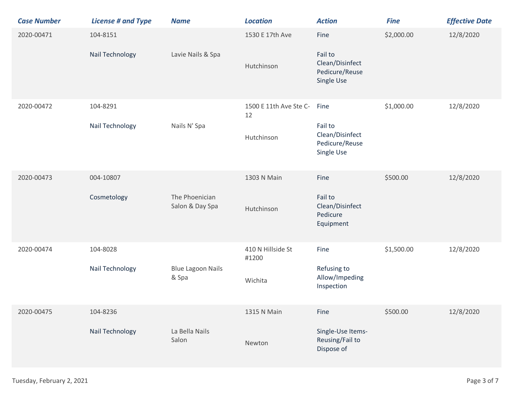| <b>Case Number</b> | <b>License # and Type</b>   | <b>Name</b>                       | <b>Location</b>                            | <b>Action</b>                                                      | <b>Fine</b> | <b>Effective Date</b> |
|--------------------|-----------------------------|-----------------------------------|--------------------------------------------|--------------------------------------------------------------------|-------------|-----------------------|
| 2020-00471         | 104-8151<br>Nail Technology | Lavie Nails & Spa                 | 1530 E 17th Ave<br>Hutchinson              | Fine<br>Fail to<br>Clean/Disinfect<br>Pedicure/Reuse<br>Single Use | \$2,000.00  | 12/8/2020             |
| 2020-00472         | 104-8291<br>Nail Technology | Nails N' Spa                      | 1500 E 11th Ave Ste C-<br>12<br>Hutchinson | Fine<br>Fail to<br>Clean/Disinfect<br>Pedicure/Reuse<br>Single Use | \$1,000.00  | 12/8/2020             |
| 2020-00473         | 004-10807<br>Cosmetology    | The Phoenician<br>Salon & Day Spa | 1303 N Main<br>Hutchinson                  | Fine<br>Fail to<br>Clean/Disinfect<br>Pedicure<br>Equipment        | \$500.00    | 12/8/2020             |
| 2020-00474         | 104-8028<br>Nail Technology | <b>Blue Lagoon Nails</b><br>& Spa | 410 N Hillside St<br>#1200<br>Wichita      | Fine<br>Refusing to<br>Allow/Impeding<br>Inspection                | \$1,500.00  | 12/8/2020             |
| 2020-00475         | 104-8236<br>Nail Technology | La Bella Nails<br>Salon           | 1315 N Main<br>Newton                      | Fine<br>Single-Use Items-<br>Reusing/Fail to<br>Dispose of         | \$500.00    | 12/8/2020             |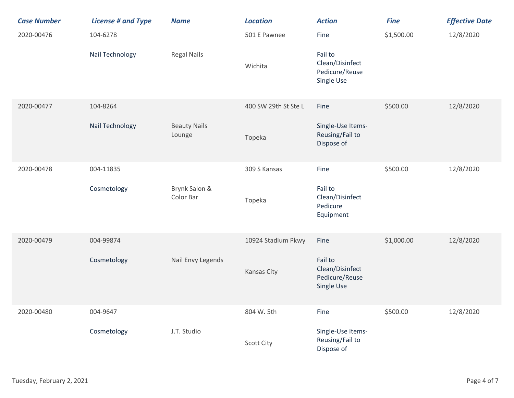| <b>Case Number</b> | <b>License # and Type</b> | <b>Name</b>                   | <b>Location</b>      | <b>Action</b>                                              | <b>Fine</b> | <b>Effective Date</b> |
|--------------------|---------------------------|-------------------------------|----------------------|------------------------------------------------------------|-------------|-----------------------|
| 2020-00476         | 104-6278                  |                               | 501 E Pawnee         | Fine                                                       | \$1,500.00  | 12/8/2020             |
|                    | Nail Technology           | <b>Regal Nails</b>            | Wichita              | Fail to<br>Clean/Disinfect<br>Pedicure/Reuse<br>Single Use |             |                       |
| 2020-00477         | 104-8264                  |                               | 400 SW 29th St Ste L | Fine                                                       | \$500.00    | 12/8/2020             |
|                    | Nail Technology           | <b>Beauty Nails</b><br>Lounge | Topeka               | Single-Use Items-<br>Reusing/Fail to<br>Dispose of         |             |                       |
| 2020-00478         | 004-11835                 |                               | 309 S Kansas         | Fine                                                       | \$500.00    | 12/8/2020             |
|                    | Cosmetology               | Brynk Salon &<br>Color Bar    | Topeka               | Fail to<br>Clean/Disinfect<br>Pedicure<br>Equipment        |             |                       |
| 2020-00479         | 004-99874                 |                               | 10924 Stadium Pkwy   | Fine                                                       | \$1,000.00  | 12/8/2020             |
|                    | Cosmetology               | Nail Envy Legends             | Kansas City          | Fail to<br>Clean/Disinfect<br>Pedicure/Reuse<br>Single Use |             |                       |
| 2020-00480         | 004-9647                  |                               | 804 W. 5th           | Fine                                                       | \$500.00    | 12/8/2020             |
|                    | Cosmetology               | J.T. Studio                   | <b>Scott City</b>    | Single-Use Items-<br>Reusing/Fail to<br>Dispose of         |             |                       |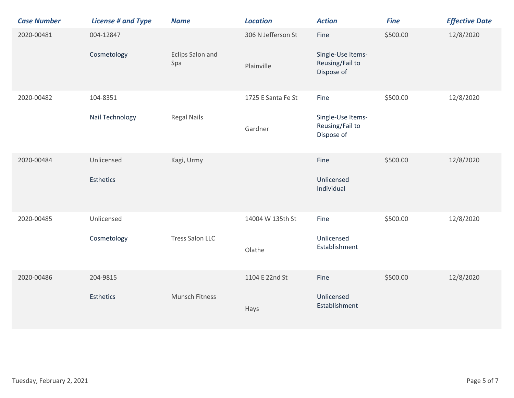| <b>Case Number</b> | <b>License # and Type</b> | <b>Name</b>            | <b>Location</b>    | <b>Action</b>                                      | <b>Fine</b> | <b>Effective Date</b> |
|--------------------|---------------------------|------------------------|--------------------|----------------------------------------------------|-------------|-----------------------|
| 2020-00481         | 004-12847<br>Cosmetology  | Eclips Salon and       | 306 N Jefferson St | Fine<br>Single-Use Items-                          | \$500.00    | 12/8/2020             |
|                    |                           | Spa                    | Plainville         | Reusing/Fail to<br>Dispose of                      |             |                       |
| 2020-00482         | 104-8351                  |                        | 1725 E Santa Fe St | Fine                                               | \$500.00    | 12/8/2020             |
|                    | Nail Technology           | <b>Regal Nails</b>     | Gardner            | Single-Use Items-<br>Reusing/Fail to<br>Dispose of |             |                       |
| 2020-00484         | Unlicensed                | Kagi, Urmy             |                    | Fine                                               | \$500.00    | 12/8/2020             |
|                    | <b>Esthetics</b>          |                        |                    | Unlicensed<br>Individual                           |             |                       |
| 2020-00485         | Unlicensed                |                        | 14004 W 135th St   | Fine                                               | \$500.00    | 12/8/2020             |
|                    | Cosmetology               | <b>Tress Salon LLC</b> | Olathe             | Unlicensed<br>Establishment                        |             |                       |
| 2020-00486         | 204-9815                  |                        | 1104 E 22nd St     | Fine                                               | \$500.00    | 12/8/2020             |
|                    | Esthetics                 | Munsch Fitness         | Hays               | Unlicensed<br>Establishment                        |             |                       |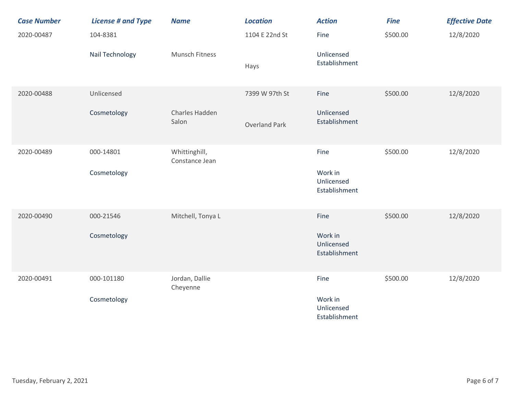| <b>Case Number</b> | <b>License # and Type</b> | <b>Name</b>                     | <b>Location</b>      | <b>Action</b>                          | <b>Fine</b> | <b>Effective Date</b> |
|--------------------|---------------------------|---------------------------------|----------------------|----------------------------------------|-------------|-----------------------|
| 2020-00487         | 104-8381                  |                                 | 1104 E 22nd St       | Fine                                   | \$500.00    | 12/8/2020             |
|                    | Nail Technology           | Munsch Fitness                  | Hays                 | Unlicensed<br>Establishment            |             |                       |
| 2020-00488         | Unlicensed                |                                 | 7399 W 97th St       | Fine                                   | \$500.00    | 12/8/2020             |
|                    | Cosmetology               | Charles Hadden<br>Salon         | <b>Overland Park</b> | Unlicensed<br>Establishment            |             |                       |
| 2020-00489         | 000-14801                 | Whittinghill,<br>Constance Jean |                      | Fine                                   | \$500.00    | 12/8/2020             |
|                    | Cosmetology               |                                 |                      | Work in<br>Unlicensed<br>Establishment |             |                       |
| 2020-00490         | 000-21546                 | Mitchell, Tonya L               |                      | Fine                                   | \$500.00    | 12/8/2020             |
|                    | Cosmetology               |                                 |                      | Work in<br>Unlicensed<br>Establishment |             |                       |
| 2020-00491         | 000-101180                | Jordan, Dallie<br>Cheyenne      |                      | Fine                                   | \$500.00    | 12/8/2020             |
|                    | Cosmetology               |                                 |                      | Work in<br>Unlicensed<br>Establishment |             |                       |